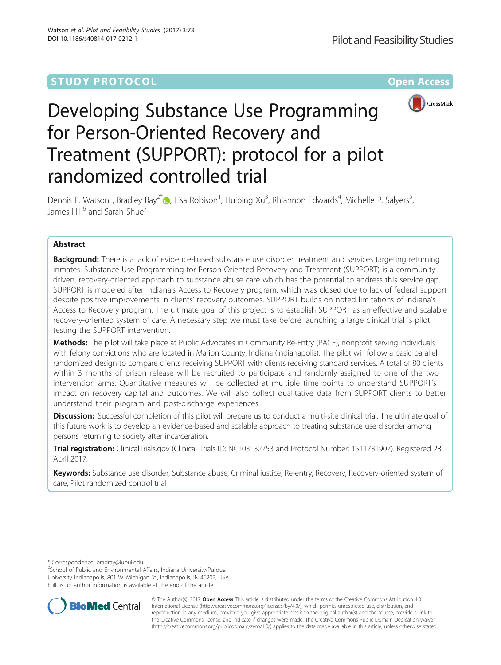# **STUDY PROTOCOL CONSUMING THE RESERVE ACCESS**



# Developing Substance Use Programming for Person-Oriented Recovery and Treatment (SUPPORT): protocol for a pilot randomized controlled trial

Dennis P. Watson<sup>1</sup>, Bradley Ray<sup>2[\\*](http://orcid.org/0000-0003-3643-775X)</sup> (@, Lisa Robison<sup>1</sup>, Huiping Xu<sup>3</sup>, Rhiannon Edwards<sup>4</sup>, Michelle P. Salyers<sup>5</sup> , James Hill<sup>6</sup> and Sarah Shue<sup>7</sup>

# Abstract

**Background:** There is a lack of evidence-based substance use disorder treatment and services targeting returning inmates. Substance Use Programming for Person-Oriented Recovery and Treatment (SUPPORT) is a communitydriven, recovery-oriented approach to substance abuse care which has the potential to address this service gap. SUPPORT is modeled after Indiana's Access to Recovery program, which was closed due to lack of federal support despite positive improvements in clients' recovery outcomes. SUPPORT builds on noted limitations of Indiana's Access to Recovery program. The ultimate goal of this project is to establish SUPPORT as an effective and scalable recovery-oriented system of care. A necessary step we must take before launching a large clinical trial is pilot testing the SUPPORT intervention.

Methods: The pilot will take place at Public Advocates in Community Re-Entry (PACE), nonprofit serving individuals with felony convictions who are located in Marion County, Indiana (Indianapolis). The pilot will follow a basic parallel randomized design to compare clients receiving SUPPORT with clients receiving standard services. A total of 80 clients within 3 months of prison release will be recruited to participate and randomly assigned to one of the two intervention arms. Quantitative measures will be collected at multiple time points to understand SUPPORT's impact on recovery capital and outcomes. We will also collect qualitative data from SUPPORT clients to better understand their program and post-discharge experiences.

Discussion: Successful completion of this pilot will prepare us to conduct a multi-site clinical trial. The ultimate goal of this future work is to develop an evidence-based and scalable approach to treating substance use disorder among persons returning to society after incarceration.

Trial registration: ClinicalTrials.gov (Clinical Trials ID: [NCT03132753](https://www.clinicaltrials.gov/ct2/show/NCT03132753?term=1511731907&rank=1) and Protocol Number: 1511731907). Registered 28 April 2017.

Keywords: Substance use disorder, Substance abuse, Criminal justice, Re-entry, Recovery, Recovery-oriented system of care, Pilot randomized control trial

\* Correspondence: [bradray@iupui.edu](mailto:bradray@iupui.edu) <sup>2</sup>

<sup>2</sup>School of Public and Environmental Affairs, Indiana University-Purdue University Indianapolis, 801 W. Michigan St., Indianapolis, IN 46202, USA Full list of author information is available at the end of the article



© The Author(s). 2017 **Open Access** This article is distributed under the terms of the Creative Commons Attribution 4.0 International License [\(http://creativecommons.org/licenses/by/4.0/](http://creativecommons.org/licenses/by/4.0/)), which permits unrestricted use, distribution, and reproduction in any medium, provided you give appropriate credit to the original author(s) and the source, provide a link to the Creative Commons license, and indicate if changes were made. The Creative Commons Public Domain Dedication waiver [\(http://creativecommons.org/publicdomain/zero/1.0/](http://creativecommons.org/publicdomain/zero/1.0/)) applies to the data made available in this article, unless otherwise stated.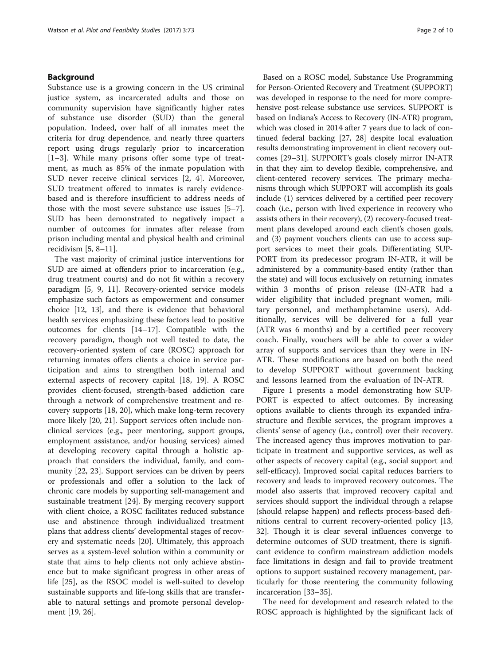# Background

Substance use is a growing concern in the US criminal justice system, as incarcerated adults and those on community supervision have significantly higher rates of substance use disorder (SUD) than the general population. Indeed, over half of all inmates meet the criteria for drug dependence, and nearly three quarters report using drugs regularly prior to incarceration [[1](#page-7-0)–[3](#page-7-0)]. While many prisons offer some type of treatment, as much as 85% of the inmate population with SUD never receive clinical services [[2](#page-7-0), [4\]](#page-7-0). Moreover, SUD treatment offered to inmates is rarely evidencebased and is therefore insufficient to address needs of those with the most severe substance use issues [[5](#page-7-0)–[7](#page-7-0)]. SUD has been demonstrated to negatively impact a number of outcomes for inmates after release from prison including mental and physical health and criminal recidivism [\[5](#page-7-0), [8](#page-7-0)–[11](#page-7-0)].

The vast majority of criminal justice interventions for SUD are aimed at offenders prior to incarceration (e.g., drug treatment courts) and do not fit within a recovery paradigm [\[5](#page-7-0), [9, 11\]](#page-7-0). Recovery-oriented service models emphasize such factors as empowerment and consumer choice [\[12](#page-7-0), [13](#page-8-0)], and there is evidence that behavioral health services emphasizing these factors lead to positive outcomes for clients [\[14](#page-8-0)–[17](#page-8-0)]. Compatible with the recovery paradigm, though not well tested to date, the recovery-oriented system of care (ROSC) approach for returning inmates offers clients a choice in service participation and aims to strengthen both internal and external aspects of recovery capital [\[18](#page-8-0), [19\]](#page-8-0). A ROSC provides client-focused, strength-based addiction care through a network of comprehensive treatment and recovery supports [\[18](#page-8-0), [20](#page-8-0)], which make long-term recovery more likely [\[20, 21](#page-8-0)]. Support services often include nonclinical services (e.g., peer mentoring, support groups, employment assistance, and/or housing services) aimed at developing recovery capital through a holistic approach that considers the individual, family, and community [\[22, 23](#page-8-0)]. Support services can be driven by peers or professionals and offer a solution to the lack of chronic care models by supporting self-management and sustainable treatment [[24](#page-8-0)]. By merging recovery support with client choice, a ROSC facilitates reduced substance use and abstinence through individualized treatment plans that address clients' developmental stages of recovery and systematic needs [\[20](#page-8-0)]. Ultimately, this approach serves as a system-level solution within a community or state that aims to help clients not only achieve abstinence but to make significant progress in other areas of life [[25\]](#page-8-0), as the RSOC model is well-suited to develop sustainable supports and life-long skills that are transferable to natural settings and promote personal development [[19, 26\]](#page-8-0).

Based on a ROSC model, Substance Use Programming for Person-Oriented Recovery and Treatment (SUPPORT) was developed in response to the need for more comprehensive post-release substance use services. SUPPORT is based on Indiana's Access to Recovery (IN-ATR) program, which was closed in 2014 after 7 years due to lack of continued federal backing [\[27, 28\]](#page-8-0) despite local evaluation results demonstrating improvement in client recovery outcomes [[29](#page-8-0)–[31\]](#page-8-0). SUPPORT's goals closely mirror IN-ATR in that they aim to develop flexible, comprehensive, and client-centered recovery services. The primary mechanisms through which SUPPORT will accomplish its goals include (1) services delivered by a certified peer recovery coach (i.e., person with lived experience in recovery who assists others in their recovery), (2) recovery-focused treatment plans developed around each client's chosen goals, and (3) payment vouchers clients can use to access support services to meet their goals. Differentiating SUP-PORT from its predecessor program IN-ATR, it will be administered by a community-based entity (rather than the state) and will focus exclusively on returning inmates within 3 months of prison release (IN-ATR had a wider eligibility that included pregnant women, military personnel, and methamphetamine users). Additionally, services will be delivered for a full year (ATR was 6 months) and by a certified peer recovery coach. Finally, vouchers will be able to cover a wider array of supports and services than they were in IN-ATR. These modifications are based on both the need to develop SUPPORT without government backing and lessons learned from the evaluation of IN-ATR.

Figure [1](#page-2-0) presents a model demonstrating how SUP-PORT is expected to affect outcomes. By increasing options available to clients through its expanded infrastructure and flexible services, the program improves a clients' sense of agency (i.e., control) over their recovery. The increased agency thus improves motivation to participate in treatment and supportive services, as well as other aspects of recovery capital (e.g., social support and self-efficacy). Improved social capital reduces barriers to recovery and leads to improved recovery outcomes. The model also asserts that improved recovery capital and services should support the individual through a relapse (should relapse happen) and reflects process-based definitions central to current recovery-oriented policy [[13](#page-8-0), [32\]](#page-8-0). Though it is clear several influences converge to determine outcomes of SUD treatment, there is significant evidence to confirm mainstream addiction models face limitations in design and fail to provide treatment options to support sustained recovery management, particularly for those reentering the community following incarceration [\[33](#page-8-0)–[35\]](#page-8-0).

The need for development and research related to the ROSC approach is highlighted by the significant lack of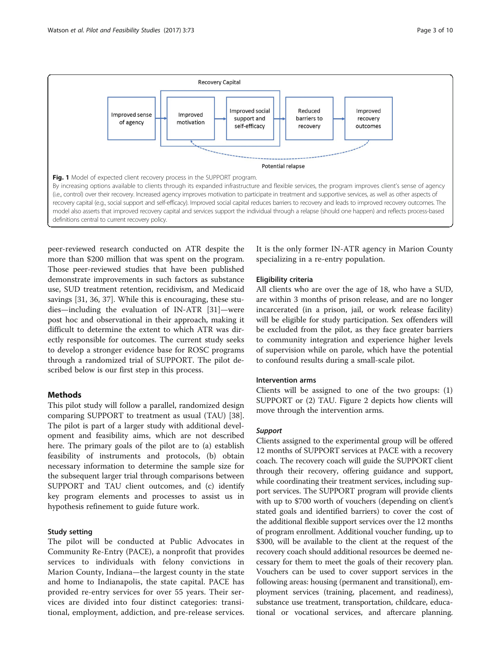<span id="page-2-0"></span>

peer-reviewed research conducted on ATR despite the more than \$200 million that was spent on the program. Those peer-reviewed studies that have been published demonstrate improvements in such factors as substance use, SUD treatment retention, recidivism, and Medicaid savings [[31, 36, 37\]](#page-8-0). While this is encouraging, these studies—including the evaluation of IN-ATR [\[31](#page-8-0)]—were post hoc and observational in their approach, making it difficult to determine the extent to which ATR was directly responsible for outcomes. The current study seeks to develop a stronger evidence base for ROSC programs through a randomized trial of SUPPORT. The pilot described below is our first step in this process.

# Methods

This pilot study will follow a parallel, randomized design comparing SUPPORT to treatment as usual (TAU) [\[38](#page-8-0)]. The pilot is part of a larger study with additional development and feasibility aims, which are not described here. The primary goals of the pilot are to (a) establish feasibility of instruments and protocols, (b) obtain necessary information to determine the sample size for the subsequent larger trial through comparisons between SUPPORT and TAU client outcomes, and (c) identify key program elements and processes to assist us in hypothesis refinement to guide future work.

## Study setting

The pilot will be conducted at Public Advocates in Community Re-Entry (PACE), a nonprofit that provides services to individuals with felony convictions in Marion County, Indiana—the largest county in the state and home to Indianapolis, the state capital. PACE has provided re-entry services for over 55 years. Their services are divided into four distinct categories: transitional, employment, addiction, and pre-release services. It is the only former IN-ATR agency in Marion County specializing in a re-entry population.

# Eligibility criteria

All clients who are over the age of 18, who have a SUD, are within 3 months of prison release, and are no longer incarcerated (in a prison, jail, or work release facility) will be eligible for study participation. Sex offenders will be excluded from the pilot, as they face greater barriers to community integration and experience higher levels of supervision while on parole, which have the potential to confound results during a small-scale pilot.

# Intervention arms

Clients will be assigned to one of the two groups: (1) SUPPORT or (2) TAU. Figure [2](#page-3-0) depicts how clients will move through the intervention arms.

# Support

Clients assigned to the experimental group will be offered 12 months of SUPPORT services at PACE with a recovery coach. The recovery coach will guide the SUPPORT client through their recovery, offering guidance and support, while coordinating their treatment services, including support services. The SUPPORT program will provide clients with up to \$700 worth of vouchers (depending on client's stated goals and identified barriers) to cover the cost of the additional flexible support services over the 12 months of program enrollment. Additional voucher funding, up to \$300, will be available to the client at the request of the recovery coach should additional resources be deemed necessary for them to meet the goals of their recovery plan. Vouchers can be used to cover support services in the following areas: housing (permanent and transitional), employment services (training, placement, and readiness), substance use treatment, transportation, childcare, educational or vocational services, and aftercare planning.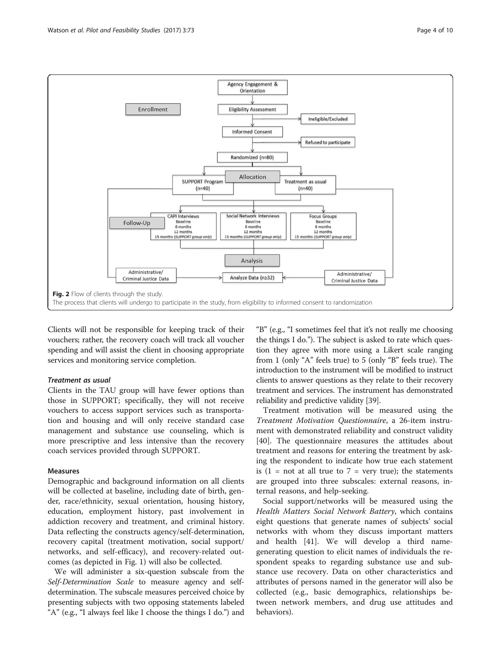<span id="page-3-0"></span>

Clients will not be responsible for keeping track of their vouchers; rather, the recovery coach will track all voucher spending and will assist the client in choosing appropriate services and monitoring service completion.

# Treatment as usual

Clients in the TAU group will have fewer options than those in SUPPORT; specifically, they will not receive vouchers to access support services such as transportation and housing and will only receive standard case management and substance use counseling, which is more prescriptive and less intensive than the recovery coach services provided through SUPPORT.

# Measures

Demographic and background information on all clients will be collected at baseline, including date of birth, gender, race/ethnicity, sexual orientation, housing history, education, employment history, past involvement in addiction recovery and treatment, and criminal history. Data reflecting the constructs agency/self-determination, recovery capital (treatment motivation, social support/ networks, and self-efficacy), and recovery-related outcomes (as depicted in Fig. [1\)](#page-2-0) will also be collected.

We will administer a six-question subscale from the Self-Determination Scale to measure agency and selfdetermination. The subscale measures perceived choice by presenting subjects with two opposing statements labeled "A" (e.g., "I always feel like I choose the things I do.") and "B" (e.g., "I sometimes feel that it's not really me choosing the things I do."). The subject is asked to rate which question they agree with more using a Likert scale ranging from 1 (only "A" feels true) to 5 (only "B" feels true). The introduction to the instrument will be modified to instruct clients to answer questions as they relate to their recovery treatment and services. The instrument has demonstrated reliability and predictive validity [\[39\]](#page-8-0).

Treatment motivation will be measured using the Treatment Motivation Questionnaire, a 26-item instrument with demonstrated reliability and construct validity [[40\]](#page-8-0). The questionnaire measures the attitudes about treatment and reasons for entering the treatment by asking the respondent to indicate how true each statement is  $(1 = not at all true to 7 = very true)$ ; the statements are grouped into three subscales: external reasons, internal reasons, and help-seeking.

Social support/networks will be measured using the Health Matters Social Network Battery, which contains eight questions that generate names of subjects' social networks with whom they discuss important matters and health [\[41](#page-8-0)]. We will develop a third namegenerating question to elicit names of individuals the respondent speaks to regarding substance use and substance use recovery. Data on other characteristics and attributes of persons named in the generator will also be collected (e.g., basic demographics, relationships between network members, and drug use attitudes and behaviors).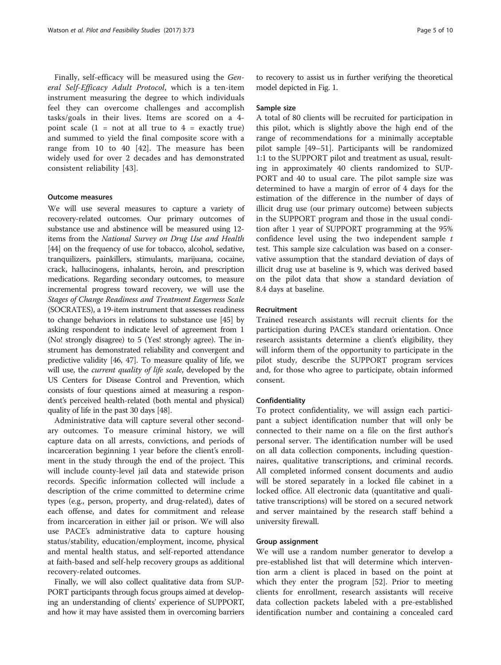Finally, self-efficacy will be measured using the General Self-Efficacy Adult Protocol, which is a ten-item instrument measuring the degree to which individuals feel they can overcome challenges and accomplish tasks/goals in their lives. Items are scored on a 4 point scale  $(1 = not at all true to 4 = exactly true)$ and summed to yield the final composite score with a range from 10 to 40 [\[42](#page-8-0)]. The measure has been widely used for over 2 decades and has demonstrated consistent reliability [[43\]](#page-8-0).

## Outcome measures

We will use several measures to capture a variety of recovery-related outcomes. Our primary outcomes of substance use and abstinence will be measured using 12 items from the National Survey on Drug Use and Health [[44](#page-8-0)] on the frequency of use for tobacco, alcohol, sedative, tranquilizers, painkillers, stimulants, marijuana, cocaine, crack, hallucinogens, inhalants, heroin, and prescription medications. Regarding secondary outcomes, to measure incremental progress toward recovery, we will use the Stages of Change Readiness and Treatment Eagerness Scale (SOCRATES), a 19-item instrument that assesses readiness to change behaviors in relations to substance use [[45](#page-8-0)] by asking respondent to indicate level of agreement from 1 (No! strongly disagree) to 5 (Yes! strongly agree). The instrument has demonstrated reliability and convergent and predictive validity [\[46, 47](#page-8-0)]. To measure quality of life, we will use, the *current quality of life scale*, developed by the US Centers for Disease Control and Prevention, which consists of four questions aimed at measuring a respondent's perceived health-related (both mental and physical) quality of life in the past 30 days [[48](#page-8-0)].

Administrative data will capture several other secondary outcomes. To measure criminal history, we will capture data on all arrests, convictions, and periods of incarceration beginning 1 year before the client's enrollment in the study through the end of the project. This will include county-level jail data and statewide prison records. Specific information collected will include a description of the crime committed to determine crime types (e.g., person, property, and drug-related), dates of each offense, and dates for commitment and release from incarceration in either jail or prison. We will also use PACE's administrative data to capture housing status/stability, education/employment, income, physical and mental health status, and self-reported attendance at faith-based and self-help recovery groups as additional recovery-related outcomes.

Finally, we will also collect qualitative data from SUP-PORT participants through focus groups aimed at developing an understanding of clients' experience of SUPPORT, and how it may have assisted them in overcoming barriers to recovery to assist us in further verifying the theoretical model depicted in Fig. [1.](#page-2-0)

#### Sample size

A total of 80 clients will be recruited for participation in this pilot, which is slightly above the high end of the range of recommendations for a minimally acceptable pilot sample [[49](#page-8-0)–[51](#page-8-0)]. Participants will be randomized 1:1 to the SUPPORT pilot and treatment as usual, resulting in approximately 40 clients randomized to SUP-PORT and 40 to usual care. The pilot sample size was determined to have a margin of error of 4 days for the estimation of the difference in the number of days of illicit drug use (our primary outcome) between subjects in the SUPPORT program and those in the usual condition after 1 year of SUPPORT programming at the 95% confidence level using the two independent sample  $t$ test. This sample size calculation was based on a conservative assumption that the standard deviation of days of illicit drug use at baseline is 9, which was derived based on the pilot data that show a standard deviation of 8.4 days at baseline.

#### Recruitment

Trained research assistants will recruit clients for the participation during PACE's standard orientation. Once research assistants determine a client's eligibility, they will inform them of the opportunity to participate in the pilot study, describe the SUPPORT program services and, for those who agree to participate, obtain informed consent.

### Confidentiality

To protect confidentiality, we will assign each participant a subject identification number that will only be connected to their name on a file on the first author's personal server. The identification number will be used on all data collection components, including questionnaires, qualitative transcriptions, and criminal records. All completed informed consent documents and audio will be stored separately in a locked file cabinet in a locked office. All electronic data (quantitative and qualitative transcriptions) will be stored on a secured network and server maintained by the research staff behind a university firewall.

#### Group assignment

We will use a random number generator to develop a pre-established list that will determine which intervention arm a client is placed in based on the point at which they enter the program [[52](#page-8-0)]. Prior to meeting clients for enrollment, research assistants will receive data collection packets labeled with a pre-established identification number and containing a concealed card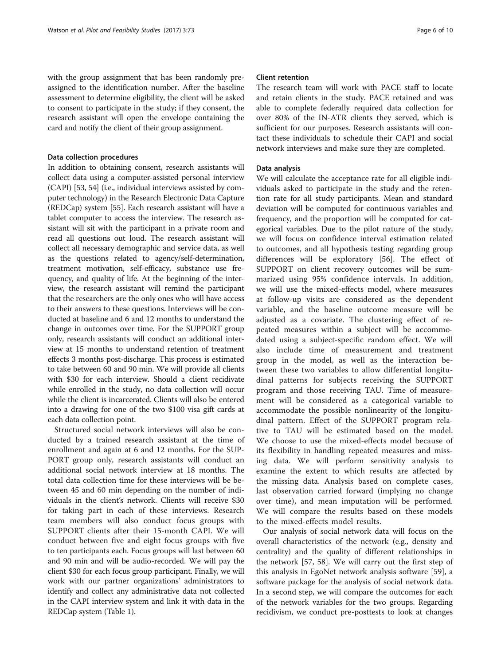with the group assignment that has been randomly preassigned to the identification number. After the baseline assessment to determine eligibility, the client will be asked to consent to participate in the study; if they consent, the research assistant will open the envelope containing the card and notify the client of their group assignment.

## Data collection procedures

In addition to obtaining consent, research assistants will collect data using a computer-assisted personal interview (CAPI) [[53](#page-8-0), [54\]](#page-8-0) (i.e., individual interviews assisted by computer technology) in the Research Electronic Data Capture (REDCap) system [\[55\]](#page-8-0). Each research assistant will have a tablet computer to access the interview. The research assistant will sit with the participant in a private room and read all questions out loud. The research assistant will collect all necessary demographic and service data, as well as the questions related to agency/self-determination, treatment motivation, self-efficacy, substance use frequency, and quality of life. At the beginning of the interview, the research assistant will remind the participant that the researchers are the only ones who will have access to their answers to these questions. Interviews will be conducted at baseline and 6 and 12 months to understand the change in outcomes over time. For the SUPPORT group only, research assistants will conduct an additional interview at 15 months to understand retention of treatment effects 3 months post-discharge. This process is estimated to take between 60 and 90 min. We will provide all clients with \$30 for each interview. Should a client recidivate while enrolled in the study, no data collection will occur while the client is incarcerated. Clients will also be entered into a drawing for one of the two \$100 visa gift cards at each data collection point.

Structured social network interviews will also be conducted by a trained research assistant at the time of enrollment and again at 6 and 12 months. For the SUP-PORT group only, research assistants will conduct an additional social network interview at 18 months. The total data collection time for these interviews will be between 45 and 60 min depending on the number of individuals in the client's network. Clients will receive \$30 for taking part in each of these interviews. Research team members will also conduct focus groups with SUPPORT clients after their 15-month CAPI. We will conduct between five and eight focus groups with five to ten participants each. Focus groups will last between 60 and 90 min and will be audio-recorded. We will pay the client \$30 for each focus group participant. Finally, we will work with our partner organizations' administrators to identify and collect any administrative data not collected in the CAPI interview system and link it with data in the REDCap system (Table [1](#page-6-0)).

# Client retention

The research team will work with PACE staff to locate and retain clients in the study. PACE retained and was able to complete federally required data collection for over 80% of the IN-ATR clients they served, which is sufficient for our purposes. Research assistants will contact these individuals to schedule their CAPI and social network interviews and make sure they are completed.

# Data analysis

We will calculate the acceptance rate for all eligible individuals asked to participate in the study and the retention rate for all study participants. Mean and standard deviation will be computed for continuous variables and frequency, and the proportion will be computed for categorical variables. Due to the pilot nature of the study, we will focus on confidence interval estimation related to outcomes, and all hypothesis testing regarding group differences will be exploratory [[56](#page-8-0)]. The effect of SUPPORT on client recovery outcomes will be summarized using 95% confidence intervals. In addition, we will use the mixed-effects model, where measures at follow-up visits are considered as the dependent variable, and the baseline outcome measure will be adjusted as a covariate. The clustering effect of repeated measures within a subject will be accommodated using a subject-specific random effect. We will also include time of measurement and treatment group in the model, as well as the interaction between these two variables to allow differential longitudinal patterns for subjects receiving the SUPPORT program and those receiving TAU. Time of measurement will be considered as a categorical variable to accommodate the possible nonlinearity of the longitudinal pattern. Effect of the SUPPORT program relative to TAU will be estimated based on the model. We choose to use the mixed-effects model because of its flexibility in handling repeated measures and missing data. We will perform sensitivity analysis to examine the extent to which results are affected by the missing data. Analysis based on complete cases, last observation carried forward (implying no change over time), and mean imputation will be performed. We will compare the results based on these models to the mixed-effects model results.

Our analysis of social network data will focus on the overall characteristics of the network (e.g., density and centrality) and the quality of different relationships in the network [[57, 58](#page-8-0)]. We will carry out the first step of this analysis in EgoNet network analysis software [[59](#page-8-0)], a software package for the analysis of social network data. In a second step, we will compare the outcomes for each of the network variables for the two groups. Regarding recidivism, we conduct pre-posttests to look at changes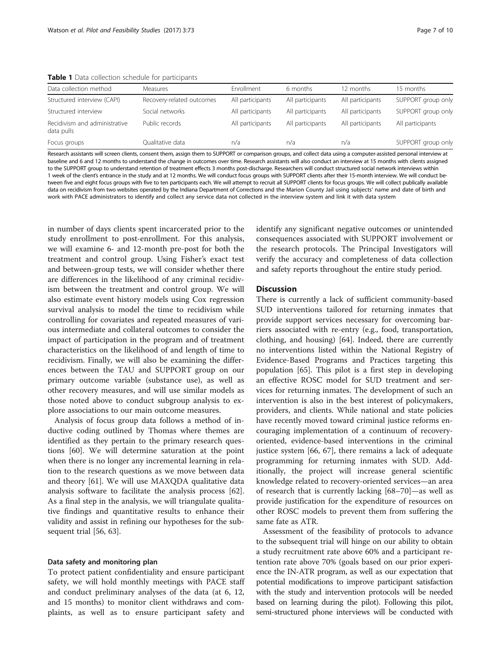| Data collection method                      | <b>Measures</b>           | Enrollment       | 6 months         | 12 months        | 15 months          |
|---------------------------------------------|---------------------------|------------------|------------------|------------------|--------------------|
| Structured interview (CAPI)                 | Recovery-related outcomes | All participants | All participants | All participants | SUPPORT group only |
| Structured interview                        | Social networks           | All participants | All participants | All participants | SUPPORT group only |
| Recidivism and administrative<br>data pulls | Public records            | All participants | All participants | All participants | All participants   |
| Focus groups                                | Qualitative data          | n/a              | n/a              | n/a              | SUPPORT group only |

<span id="page-6-0"></span>Table 1 Data collection schedule for participants

Research assistants will screen clients, consent them, assign them to SUPPORT or comparison groups, and collect data using a computer-assisted personal interview at baseline and 6 and 12 months to understand the change in outcomes over time. Research assistants will also conduct an interview at 15 months with clients assigned to the SUPPORT group to understand retention of treatment effects 3 months post-discharge. Researchers will conduct structured social network interviews within 1 week of the client's entrance in the study and at 12 months. We will conduct focus groups with SUPPORT clients after their 15-month interview. We will conduct between five and eight focus groups with five to ten participants each. We will attempt to recruit all SUPPORT clients for focus groups. We will collect publically available data on recidivism from two websites operated by the Indiana Department of Corrections and the Marion County Jail using subjects' name and date of birth and work with PACE administrators to identify and collect any service data not collected in the interview system and link it with data system

in number of days clients spent incarcerated prior to the study enrollment to post-enrollment. For this analysis, we will examine 6- and 12-month pre-post for both the treatment and control group. Using Fisher's exact test and between-group tests, we will consider whether there are differences in the likelihood of any criminal recidivism between the treatment and control group. We will also estimate event history models using Cox regression survival analysis to model the time to recidivism while controlling for covariates and repeated measures of various intermediate and collateral outcomes to consider the impact of participation in the program and of treatment characteristics on the likelihood of and length of time to recidivism. Finally, we will also be examining the differences between the TAU and SUPPORT group on our primary outcome variable (substance use), as well as other recovery measures, and will use similar models as those noted above to conduct subgroup analysis to explore associations to our main outcome measures.

Analysis of focus group data follows a method of inductive coding outlined by Thomas where themes are identified as they pertain to the primary research questions [\[60\]](#page-8-0). We will determine saturation at the point when there is no longer any incremental learning in relation to the research questions as we move between data and theory [[61\]](#page-8-0). We will use MAXQDA qualitative data analysis software to facilitate the analysis process [\[62](#page-8-0)]. As a final step in the analysis, we will triangulate qualitative findings and quantitative results to enhance their validity and assist in refining our hypotheses for the subsequent trial [[56, 63\]](#page-8-0).

#### Data safety and monitoring plan

To protect patient confidentiality and ensure participant safety, we will hold monthly meetings with PACE staff and conduct preliminary analyses of the data (at 6, 12, and 15 months) to monitor client withdraws and complaints, as well as to ensure participant safety and identify any significant negative outcomes or unintended consequences associated with SUPPORT involvement or the research protocols. The Principal Investigators will verify the accuracy and completeness of data collection and safety reports throughout the entire study period.

## **Discussion**

There is currently a lack of sufficient community-based SUD interventions tailored for returning inmates that provide support services necessary for overcoming barriers associated with re-entry (e.g., food, transportation, clothing, and housing) [\[64](#page-8-0)]. Indeed, there are currently no interventions listed within the National Registry of Evidence-Based Programs and Practices targeting this population [\[65](#page-8-0)]. This pilot is a first step in developing an effective ROSC model for SUD treatment and services for returning inmates. The development of such an intervention is also in the best interest of policymakers, providers, and clients. While national and state policies have recently moved toward criminal justice reforms encouraging implementation of a continuum of recoveryoriented, evidence-based interventions in the criminal justice system [[66](#page-9-0), [67\]](#page-9-0), there remains a lack of adequate programming for returning inmates with SUD. Additionally, the project will increase general scientific knowledge related to recovery-oriented services—an area of research that is currently lacking [[68](#page-9-0)–[70](#page-9-0)]—as well as provide justification for the expenditure of resources on other ROSC models to prevent them from suffering the same fate as ATR.

Assessment of the feasibility of protocols to advance to the subsequent trial will hinge on our ability to obtain a study recruitment rate above 60% and a participant retention rate above 70% (goals based on our prior experience the IN-ATR program, as well as our expectation that potential modifications to improve participant satisfaction with the study and intervention protocols will be needed based on learning during the pilot). Following this pilot, semi-structured phone interviews will be conducted with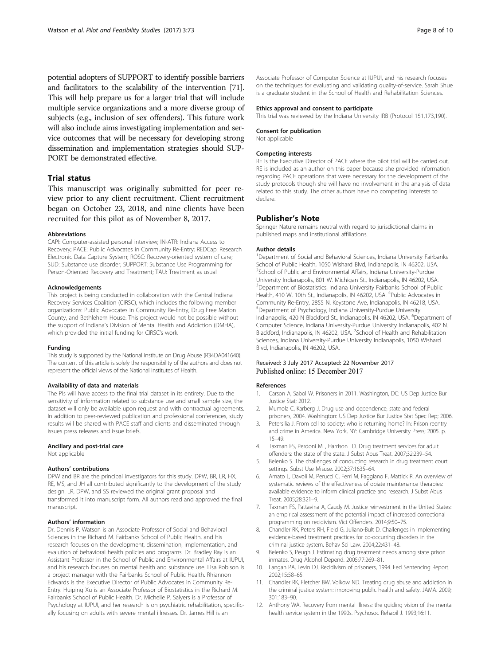<span id="page-7-0"></span>potential adopters of SUPPORT to identify possible barriers and facilitators to the scalability of the intervention [\[71](#page-9-0)]. This will help prepare us for a larger trial that will include multiple service organizations and a more diverse group of subjects (e.g., inclusion of sex offenders). This future work will also include aims investigating implementation and service outcomes that will be necessary for developing strong dissemination and implementation strategies should SUP-PORT be demonstrated effective.

# Trial status

This manuscript was originally submitted for peer review prior to any client recruitment. Client recruitment began on October 23, 2018, and nine clients have been recruited for this pilot as of November 8, 2017.

#### Abbreviations

CAPI: Computer-assisted personal interview; IN-ATR: Indiana Access to Recovery; PACE: Public Advocates in Community Re-Entry; REDCap: Research Electronic Data Capture System; ROSC: Recovery-oriented system of care; SUD: Substance use disorder; SUPPORT: Substance Use Programming for Person-Oriented Recovery and Treatment; TAU: Treatment as usual

#### Acknowledgements

This project is being conducted in collaboration with the Central Indiana Recovery Services Coalition (CIRSC), which includes the following member organizations: Public Advocates in Community Re-Entry, Drug Free Marion County, and Bethlehem House. This project would not be possible without the support of Indiana's Division of Mental Health and Addiction (DMHA), which provided the initial funding for CIRSC's work.

#### Funding

This study is supported by the National Institute on Drug Abuse (R34DA041640). The content of this article is solely the responsibility of the authors and does not represent the official views of the National Institutes of Health.

#### Availability of data and materials

The PIs will have access to the final trial dataset in its entirety. Due to the sensitivity of information related to substance use and small sample size, the dataset will only be available upon request and with contractual agreements. In addition to peer-reviewed publication and professional conferences, study results will be shared with PACE staff and clients and disseminated through issues press releases and issue briefs.

# Ancillary and post-trial care

Not applicable

# Authors' contributions

DPW and BR are the principal investigators for this study. DPW, BR, LR, HX, RE, MS, and JH all contributed significantly to the development of the study design. LR, DPW, and SS reviewed the original grant proposal and transformed it into manuscript form. All authors read and approved the final manuscript.

#### Authors' information

Dr. Dennis P. Watson is an Associate Professor of Social and Behavioral Sciences in the Richard M. Fairbanks School of Public Health, and his research focuses on the development, dissemination, implementation, and evalution of behavioral health policies and programs. Dr. Bradley Ray is an Assistant Professor in the School of Public and Environmental Affairs at IUPUI, and his research focuses on mental health and substance use. Lisa Robison is a project manager with the Fairbanks School of Public Health. Rhiannon Edwards is the Executive Director of Public Advocates in Community Re-Entry. Huiping Xu is an Associate Professor of Biostatistics in the Richard M. Fairbanks School of Public Health. Dr. Michelle P. Salyers is a Professor of Psychology at IUPUI, and her research is on psychiatric rehabilitation, specifically focusing on adults with severe mental illnesses. Dr. James Hill is an

Associate Professor of Computer Science at IUPUI, and his research focuses on the techniques for evaluating and validating quality-of-service. Sarah Shue is a graduate student in the School of Health and Rehabilitation Sciences.

#### Ethics approval and consent to participate

This trial was reviewed by the Indiana University IRB (Protocol 151,173,190).

#### Consent for publication

Not applicable

#### Competing interests

RE is the Executive Director of PACE where the pilot trial will be carried out. RE is included as an author on this paper because she provided information regarding PACE operations that were necessary for the development of the study protocols though she will have no involvement in the analysis of data related to this study. The other authors have no competing interests to declare.

## Publisher's Note

Springer Nature remains neutral with regard to jurisdictional claims in published maps and institutional affiliations.

#### Author details

<sup>1</sup>Department of Social and Behavioral Sciences, Indiana University Fairbanks School of Public Health, 1050 Wishard Blvd, Indianapolis, IN 46202, USA. <sup>2</sup>School of Public and Environmental Affairs, Indiana University-Purdue University Indianapolis, 801 W. Michigan St., Indianapolis, IN 46202, USA. <sup>3</sup>Department of Biostatistics, Indiana University Fairbanks School of Public Health, 410 W. 10th St., Indianapolis, IN 46202, USA. <sup>4</sup>Public Advocates in Community Re-Entry, 2855 N. Keystone Ave, Indianapolis, IN 46218, USA. 5 Department of Psychology, Indiana University-Purdue University Indianapolis, 420 N Blackford St., Indianapolis, IN 46202, USA. <sup>6</sup>Department of Computer Science, Indiana University-Purdue University Indianapolis, 402 N. Blackford, Indianapolis, IN 46202, USA. <sup>7</sup>School of Health and Rehabilitation Sciences, Indiana University-Purdue University Indianapolis, 1050 Wishard Blvd, Indianapolis, IN 46202, USA.

#### Received: 3 July 2017 Accepted: 22 November 2017 Published online: 15 December 2017

#### References

- 1. Carson A, Sabol W. Prisoners in 2011. Washington, DC: US Dep Justice Bur Justice Stat; 2012.
- 2. Mumola C, Karberg J. Drug use and dependence, state and federal prisoners, 2004. Washington: US Dep Justice Bur Justice Stat Spec Rep; 2006.
- Petersilia J. From cell to society: who is returning home? In: Prison reentry and crime in America. New York, NY: Cambridge University Press; 2005. p. 15–49.
- 4. Taxman FS, Perdoni ML, Harrison LD. Drug treatment services for adult offenders: the state of the state. J Subst Abus Treat. 2007;32:239–54.
- 5. Belenko S. The challenges of conducting research in drug treatment court settings. Subst Use Misuse. 2002;37:1635–64.
- 6. Amato L, Davoli M, Perucci C, Ferri M, Faggiano F, Mattick R. An overview of systematic reviews of the effectiveness of opiate maintenance therapies: available evidence to inform clinical practice and research. J Subst Abus Treat. 2005;28:321–9.
- 7. Taxman FS, Pattavina A, Caudy M. Justice reinvestment in the United States: an empirical assessment of the potential impact of increased correctional programming on recidivism. Vict Offenders. 2014;9:50–75.
- 8. Chandler RK, Peters RH, Field G, Juliano-Bult D. Challenges in implementing evidence-based treatment practices for co-occurring disorders in the criminal justice system. Behav Sci Law. 2004;22:431–48.
- 9. Belenko S, Peugh J. Estimating drug treatment needs among state prison inmates. Drug Alcohol Depend. 2005;77:269–81.
- 10. Langan PA, Levin DJ. Recidivism of prisoners, 1994. Fed Sentencing Report. 2002;15:58–65.
- 11. Chandler RK, Fletcher BW, Volkow ND. Treating drug abuse and addiction in the criminal justice system: improving public health and safety. JAMA. 2009; 301:183–90.
- 12. Anthony WA. Recovery from mental illness: the guiding vision of the mental health service system in the 1990s. Psychosoc Rehabil J. 1993;16:11.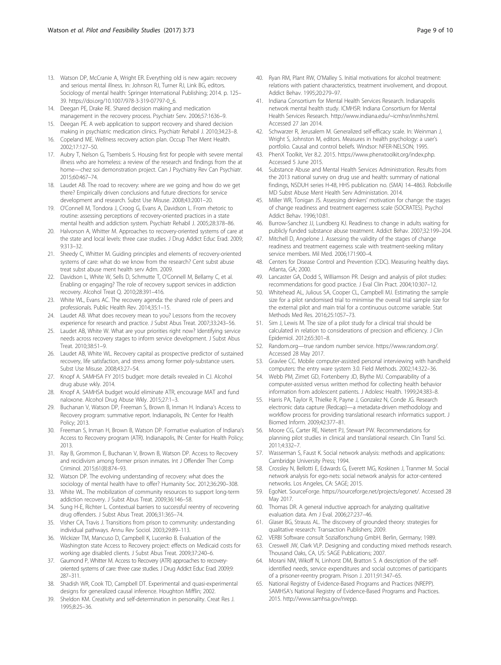- <span id="page-8-0"></span>13. Watson DP, McCranie A, Wright ER. Everything old is new again: recovery and serious mental illness. In: Johnson RJ, Turner RJ, Link BG, editors. Sociology of mental health: Springer International Publishing; 2014. p. 125– 39. [https://doi.org/10.1007/978-3-319-07797-0\\_6.](http://dx.doi.org/10.1007/978-3-319-07797-0_6)
- 14. Deegan PE, Drake RE. Shared decision making and medication management in the recovery process. Psychiatr Serv. 2006;57:1636–9.
- 15. Deegan PE. A web application to support recovery and shared decision making in psychiatric medication clinics. Psychiatr Rehabil J. 2010;34:23–8.
- 16. Copeland ME. Wellness recovery action plan. Occup Ther Ment Health. 2002;17:127–50.
- 17. Aubry T, Nelson G, Tsemberis S. Housing first for people with severe mental illness who are homeless: a review of the research and findings from the at home—chez soi demonstration project. Can J Psychiatry Rev Can Psychiatr. 2015;60:467–74.
- 18. Laudet AB. The road to recovery: where are we going and how do we get there? Empirically driven conclusions and future directions for service development and research. Subst Use Misuse. 2008;43:2001–20.
- 19. O'Connell M, Tondora J, Croog G, Evans A, Davidson L. From rhetoric to routine: assessing perceptions of recovery-oriented practices in a state mental health and addiction system. Psychiatr Rehabil J. 2005;28:378–86.
- 20. Halvorson A, Whitter M. Approaches to recovery-oriented systems of care at the state and local levels: three case studies. J Drug Addict Educ Erad. 2009; 9:313–32.
- 21. Sheedy C, Whitter M. Guiding principles and elements of recovery-oriented systems of care: what do we know from the research? Cent subst abuse treat subst abuse ment health serv Adm. 2009.
- 22. Davidson L, White W, Sells D, Schmutte T, O'Connell M, Bellamy C, et al. Enabling or engaging? The role of recovery support services in addiction recovery. Alcohol Treat Q. 2010;28:391–416.
- 23. White WL, Evans AC. The recovery agenda: the shared role of peers and professionals. Public Health Rev. 2014;35:1–15.
- 24. Laudet AB. What does recovery mean to you? Lessons from the recovery experience for research and practice. J Subst Abus Treat. 2007;33:243–56.
- 25. Laudet AB, White W. What are your priorities right now? Identifying service needs across recovery stages to inform service development. J Subst Abus Treat. 2010;38:51–9.
- 26. Laudet AB, White WL. Recovery capital as prospective predictor of sustained recovery, life satisfaction, and stress among former poly-substance users. Subst Use Misuse. 2008;43:27–54.
- 27. Knopf A. SAMHSA FY 2015 budget: more details revealed in CJ. Alcohol drug abuse wkly. 2014.
- 28. Knopf A. SAMHSA budget would eliminate ATR, encourage MAT and fund naloxone. Alcohol Drug Abuse Wkly. 2015;27:1–3.
- 29. Buchanan V, Watson DP, Freeman S, Brown B, Inman H. Indiana's Access to Recovery program: summative report. Indianapolis, IN: Center for Health Policy; 2013.
- 30. Freeman S, Inman H, Brown B, Watson DP. Formative evaluation of Indiana's Access to Recovery program (ATR). Indianapolis, IN: Center for Health Policy; 2013.
- 31. Ray B, Grommon E, Buchanan V, Brown B, Watson DP. Access to Recovery and recidivism among former prison inmates. Int J Offender Ther Comp Criminol. 2015;61(8):874–93.
- 32. Watson DP. The evolving understanding of recovery: what does the sociology of mental health have to offer? Humanity Soc. 2012;36:290–308.
- 33. White WL. The mobilization of community resources to support long-term addiction recovery. J Subst Abus Treat. 2009;36:146–58.
- 34. Sung H-E, Richter L. Contextual barriers to successful reentry of recovering drug offenders. J Subst Abus Treat. 2006;31:365–74.
- 35. Visher CA, Travis J. Transitions from prison to community: understanding individual pathways. Annu Rev Sociol. 2003;29:89–113.
- 36. Wickizer TM, Mancuso D, Campbell K, Lucenko B. Evaluation of the Washington state Access to Recovery project: effects on Medicaid costs for working age disabled clients. J Subst Abus Treat. 2009;37:240–6.
- 37. Gaumond P, Whitter M. Access to Recovery (ATR) approaches to recoveryoriented systems of care: three case studies. J Drug Addict Educ Erad. 2009;9: 287–311.
- 38. Shadish WR, Cook TD, Campbell DT. Experimental and quasi-experimental designs for generalized causal inference. Houghton Mifflin; 2002.
- 39. Sheldon KM. Creativity and self-determination in personality. Creat Res J. 1995;8:25–36.
- 40. Ryan RM, Plant RW, O'Malley S. Initial motivations for alcohol treatment: relations with patient characteristics, treatment involvement, and dropout. Addict Behav. 1995;20:279–97.
- 41. Indiana Consortium for Mental Health Services Research. Indianapolis network mental health study. ICMHSR: Indiana Consortium for Mental Health Services Research. [http://www.indiana.edu/~icmhsr/inmhs.html.](http://www.indiana.edu/~icmhsr/inmhs.html) Accessed 27 Jan 2014.
- 42. Schwarzer R, Jerusalem M. Generalized self-efficacy scale. In: Weinman J, Wright S, Johnston M, editors. Measures in health psychology: a user's portfolio. Causal and control beliefs. Windsor: NFER-NELSON; 1995.
- PhenX Toolkit, Ver 8.2. 2015.<https://www.phenxtoolkit.org/index.php>. Accessed 5 June 2015.
- 44. Substance Abuse and Mental Health Services Administration. Results from the 2013 national survey on drug use and health: summary of national findings, NSDUH series H-48, HHS publication no. (SMA) 14–4863. Robckville MD Subst Abuse Ment Health Serv Administation. 2014.
- 45. Miller WR, Tonigan JS. Assessing drinkers' motivation for change: the stages of change readiness and treatment eagerness scale (SOCRATES). Psychol Addict Behav. 1996;10:81.
- 46. Burrow-Sanchez JJ, Lundberg KJ. Readiness to change in adults waiting for publicly funded substance abuse treatment. Addict Behav. 2007;32:199–204.
- 47. Mitchell D, Angelone J. Assessing the validity of the stages of change readiness and treatment eagerness scale with treatment-seeking military service members. Mil Med. 2006;171:900–4.
- 48. Centers for Disease Control and Prevention (CDC). Measuring healthy days. Atlanta, GA; 2000.
- 49. Lancaster GA, Dodd S, Williamson PR. Design and analysis of pilot studies: recommendations for good practice. J Eval Clin Pract. 2004;10:307–12.
- Whitehead AL, Julious SA, Cooper CL, Campbell MJ. Estimating the sample size for a pilot randomised trial to minimise the overall trial sample size for the external pilot and main trial for a continuous outcome variable. Stat Methods Med Res. 2016;25:1057–73.
- 51. Sim J, Lewis M. The size of a pilot study for a clinical trial should be calculated in relation to considerations of precision and efficiency. J Clin Epidemiol. 2012;65:301–8.
- 52. Random.org—true random number service. [https://www.random.org/](https://www.random.org). Accessed 28 May 2017.
- 53. Gravlee CC. Mobile computer-assisted personal interviewing with handheld computers: the entry ware system 3.0. Field Methods. 2002;14:322–36.
- Webb PM, Zimet GD, Fortenberry JD, Blythe MJ. Comparability of a computer-assisted versus written method for collecting health behavior information from adolescent patients. J Adolesc Health. 1999;24:383–8.
- 55. Harris PA, Taylor R, Thielke R, Payne J, Gonzalez N, Conde JG. Research electronic data capture (Redcap)—a metadata-driven methodology and workflow process for providing translational research informatics support. J Biomed Inform. 2009;42:377–81.
- 56. Moore CG, Carter RE, Nietert PJ, Stewart PW. Recommendations for planning pilot studies in clinical and translational research. Clin Transl Sci. 2011;4:332–7.
- 57. Wasserman S, Faust K. Social network analysis: methods and applications: Cambridge University Press; 1994.
- 58. Crossley N, Bellotti E, Edwards G, Everett MG, Koskinen J, Tranmer M. Social network analysis for ego-nets: social network analysis for actor-centered networks. Los Angeles, CA: SAGE; 2015.
- 59. EgoNet. SourceForge.<https://sourceforge.net/projects/egonet/>. Accessed 28 May 2017.
- 60. Thomas DR. A general inductive approach for analyzing qualitative evaluation data. Am J Eval. 2006;27:237–46.
- 61. Glaser BG, Strauss AL. The discovery of grounded theory: strategies for qualitative research: Transaction Publishers; 2009.
- 62. VERBI Software consult Sozialforschung GmbH. Berlin, Germany; 1989.
- 63. Creswell JW, Clark VLP. Designing and conducting mixed methods research. Thousand Oaks, CA, US: SAGE Publications; 2007.
- 64. Morani NM, Wikoff N, Linhorst DM, Bratton S. A description of the selfidentified needs, service expenditures and social outcomes of participants of a prisoner-reentry program. Prison J. 2011;91:347–65.
- 65. National Registry of Evidence-Based Programs and Practices (NREPP). SAMHSA's National Registry of Evidence-Based Programs and Practices. 2015. [http://www.samhsa.gov/nrepp.](http://www.samhsa.gov/nrepp)